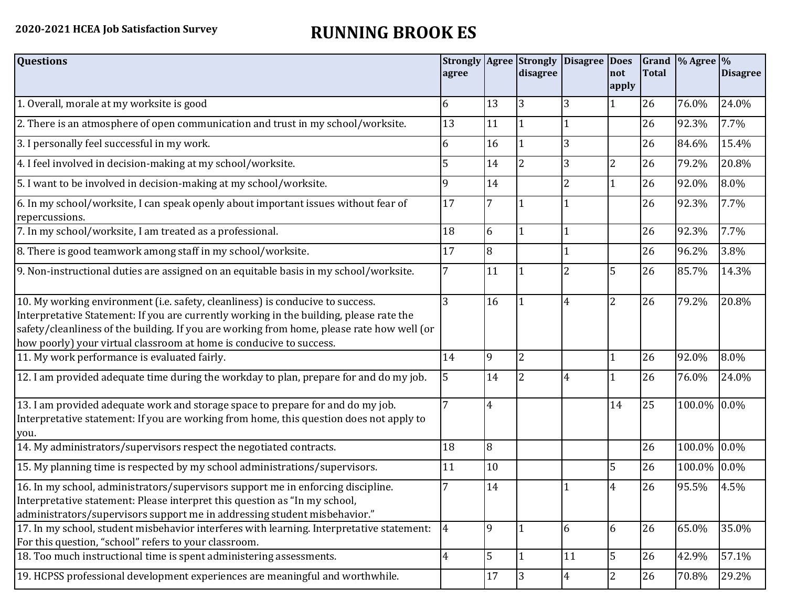## **2020-2021 HCEA Job Satisfaction Survey RUNNING BROOK ES**

| <b>Questions</b>                                                                                                                                                                                                                                                                                                                               | agree          |    | <b>Strongly Agree Strongly</b><br>disagree | Disagree Does  | Inot           | <b>Total</b> | Grand $\frac{9}{6}$ Agree $\frac{9}{6}$ | <b>Disagree</b> |
|------------------------------------------------------------------------------------------------------------------------------------------------------------------------------------------------------------------------------------------------------------------------------------------------------------------------------------------------|----------------|----|--------------------------------------------|----------------|----------------|--------------|-----------------------------------------|-----------------|
|                                                                                                                                                                                                                                                                                                                                                |                |    |                                            |                | apply          |              |                                         |                 |
| 1. Overall, morale at my worksite is good                                                                                                                                                                                                                                                                                                      | 6              | 13 | 3                                          | 3              |                | 26           | 76.0%                                   | 24.0%           |
| 2. There is an atmosphere of open communication and trust in my school/worksite.                                                                                                                                                                                                                                                               | 13             | 11 |                                            |                |                | 26           | 92.3%                                   | 7.7%            |
| 3. I personally feel successful in my work.                                                                                                                                                                                                                                                                                                    | 6              | 16 |                                            | 3              |                | 26           | 84.6%                                   | 15.4%           |
| 4. I feel involved in decision-making at my school/worksite.                                                                                                                                                                                                                                                                                   | 5              | 14 | $\overline{2}$                             | 3              | $\overline{2}$ | 26           | 79.2%                                   | 20.8%           |
| 5. I want to be involved in decision-making at my school/worksite.                                                                                                                                                                                                                                                                             | 9              | 14 |                                            | 2              | 1              | 26           | 92.0%                                   | 8.0%            |
| 6. In my school/worksite, I can speak openly about important issues without fear of<br>repercussions.                                                                                                                                                                                                                                          | 17             |    |                                            |                |                | 26           | 92.3%                                   | 7.7%            |
| 7. In my school/worksite, I am treated as a professional.                                                                                                                                                                                                                                                                                      | 18             | 6  |                                            |                |                | 26           | 92.3%                                   | 7.7%            |
| 8. There is good teamwork among staff in my school/worksite.                                                                                                                                                                                                                                                                                   | 17             | 8  |                                            |                |                | 26           | 96.2%                                   | 3.8%            |
| 9. Non-instructional duties are assigned on an equitable basis in my school/worksite.                                                                                                                                                                                                                                                          | 7              | 11 |                                            | $\overline{2}$ | 5              | 26           | 85.7%                                   | 14.3%           |
| 10. My working environment (i.e. safety, cleanliness) is conducive to success.<br>Interpretative Statement: If you are currently working in the building, please rate the<br>safety/cleanliness of the building. If you are working from home, please rate how well (or<br>how poorly) your virtual classroom at home is conducive to success. | 3              | 16 |                                            | 4              | $\overline{2}$ | 26           | 79.2%                                   | 20.8%           |
| 11. My work performance is evaluated fairly.                                                                                                                                                                                                                                                                                                   | 14             | 9  | $\overline{2}$                             |                |                | 26           | 92.0%                                   | 8.0%            |
| 12. I am provided adequate time during the workday to plan, prepare for and do my job.                                                                                                                                                                                                                                                         | 5              | 14 | 2                                          | 4              |                | 26           | 76.0%                                   | 24.0%           |
| 13. I am provided adequate work and storage space to prepare for and do my job.<br>Interpretative statement: If you are working from home, this question does not apply to<br>you.                                                                                                                                                             |                | 4  |                                            |                | 14             | 25           | 100.0% 0.0%                             |                 |
| 14. My administrators/supervisors respect the negotiated contracts.                                                                                                                                                                                                                                                                            | 18             | 8  |                                            |                |                | 26           | 100.0%                                  | 0.0%            |
| 15. My planning time is respected by my school administrations/supervisors.                                                                                                                                                                                                                                                                    | 11             | 10 |                                            |                | 5              | 26           | 100.0% 0.0%                             |                 |
| 16. In my school, administrators/supervisors support me in enforcing discipline.<br>Interpretative statement: Please interpret this question as "In my school,<br>administrators/supervisors support me in addressing student misbehavior."                                                                                                    |                | 14 |                                            |                | 4              | 26           | 95.5%                                   | 4.5%            |
| 17. In my school, student misbehavior interferes with learning. Interpretative statement:<br>For this question, "school" refers to your classroom.                                                                                                                                                                                             | $\overline{4}$ | 9  |                                            | 6              | 6              | 26           | 65.0%                                   | 35.0%           |
| 18. Too much instructional time is spent administering assessments.                                                                                                                                                                                                                                                                            | 4              | 5  | $\vert$ 1                                  | 11             | 5              | 26           | 42.9%                                   | 57.1%           |
| 19. HCPSS professional development experiences are meaningful and worthwhile.                                                                                                                                                                                                                                                                  |                | 17 | 3                                          | $\overline{4}$ | $\overline{2}$ | 26           | 70.8%                                   | 29.2%           |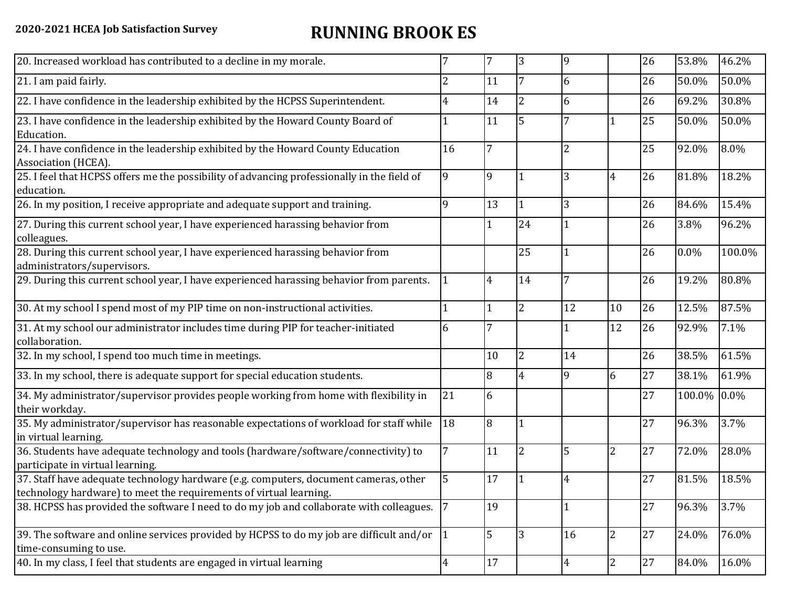## **2020-2021 HCEA Job Satisfaction Survey RUNNING BROOK ES**

| 20. Increased workload has contributed to a decline in my morale.                                                                                          |    | 7              | 3               | 9  |                | 26 | 53.8%  | 46.2%  |
|------------------------------------------------------------------------------------------------------------------------------------------------------------|----|----------------|-----------------|----|----------------|----|--------|--------|
| 21. I am paid fairly.                                                                                                                                      | 2  | 11             | $7\overline{ }$ | 6  |                | 26 | 50.0%  | 50.0%  |
| 22. I have confidence in the leadership exhibited by the HCPSS Superintendent.                                                                             | 4  | 14             | $\overline{2}$  | 6  |                | 26 | 69.2%  | 30.8%  |
| 23. I have confidence in the leadership exhibited by the Howard County Board of<br>Education.                                                              |    | 11             | 5               |    |                | 25 | 50.0%  | 50.0%  |
| 24. I have confidence in the leadership exhibited by the Howard County Education<br>Association (HCEA).                                                    | 16 | $\overline{7}$ |                 | 2  |                | 25 | 92.0%  | 8.0%   |
| 25. I feel that HCPSS offers me the possibility of advancing professionally in the field of<br>education.                                                  | 9  | 9              |                 | 3  | 4              | 26 | 81.8%  | 18.2%  |
| 26. In my position, I receive appropriate and adequate support and training.                                                                               | q  | 13             | $\vert$ 1       | 3  |                | 26 | 84.6%  | 15.4%  |
| 27. During this current school year, I have experienced harassing behavior from<br>colleagues.                                                             |    |                | 24              |    |                | 26 | 3.8%   | 96.2%  |
| 28. During this current school year, I have experienced harassing behavior from<br>administrators/supervisors.                                             |    |                | 25              |    |                | 26 | 0.0%   | 100.0% |
| 29. During this current school year, I have experienced harassing behavior from parents.                                                                   |    | 4              | 14              | 7  |                | 26 | 19.2%  | 80.8%  |
| 30. At my school I spend most of my PIP time on non-instructional activities.                                                                              |    | 1              | <sup>2</sup>    | 12 | 10             | 26 | 12.5%  | 87.5%  |
| 31. At my school our administrator includes time during PIP for teacher-initiated<br>collaboration.                                                        | 6  | 7              |                 |    | 12             | 26 | 92.9%  | 7.1%   |
| 32. In my school, I spend too much time in meetings.                                                                                                       |    | 10             | 12              | 14 |                | 26 | 38.5%  | 61.5%  |
| 33. In my school, there is adequate support for special education students.                                                                                |    | 8              | 4               | 9  | 6              | 27 | 38.1%  | 61.9%  |
| 34. My administrator/supervisor provides people working from home with flexibility in<br>their workday.                                                    | 21 | 6              |                 |    |                | 27 | 100.0% | 0.0%   |
| 35. My administrator/supervisor has reasonable expectations of workload for staff while<br>in virtual learning.                                            | 18 | 8              |                 |    |                | 27 | 96.3%  | 3.7%   |
| 36. Students have adequate technology and tools (hardware/software/connectivity) to<br>participate in virtual learning.                                    |    | 11             | <sup>2</sup>    | 5  | $\overline{c}$ | 27 | 72.0%  | 28.0%  |
| 37. Staff have adequate technology hardware (e.g. computers, document cameras, other<br>technology hardware) to meet the requirements of virtual learning. | 5  | 17             |                 | 4  |                | 27 | 81.5%  | 18.5%  |
| 38. HCPSS has provided the software I need to do my job and collaborate with colleagues.                                                                   | 7  | 19             |                 |    |                | 27 | 96.3%  | 3.7%   |
| 39. The software and online services provided by HCPSS to do my job are difficult and/or $\vert$ 1<br>time-consuming to use.                               |    | 5              | 3               | 16 | $\overline{c}$ | 27 | 24.0%  | 76.0%  |
| 40. In my class, I feel that students are engaged in virtual learning                                                                                      | 4  | 17             |                 | 4  | $\overline{2}$ | 27 | 84.0%  | 16.0%  |